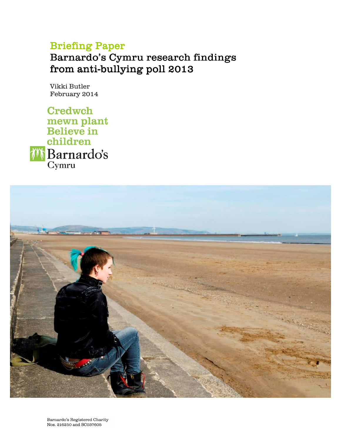## Briefing Paper

Barnardo's Cymru research findings from anti-bullying poll 2013

Vikki Butler February 2014

**Credwch** mewn plant<br>Believe in children *i***<sup>t</sup> Barnardo's** 

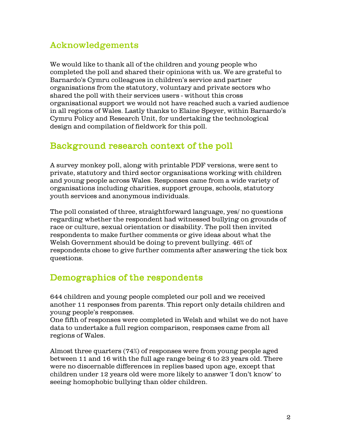## **Acknowledgements**

We would like to thank all of the children and young people who completed the poll and shared their opinions with us. We are grateful to Barnardo's Cymru colleagues in children's service and partner organisations from the statutory, voluntary and private sectors who shared the poll with their services users - without this cross organisational support we would not have reached such a varied audience in all regions of Wales. Lastly thanks to Elaine Speyer, within Barnardo's Cymru Policy and Research Unit, for undertaking the technological design and compilation of field work for this poll.

### Background research context of the poll

A survey monkey poll, along with printable PDF versions, were sent to private, statutory and third sector organisations working with children and young people across Wales. Responses came from a wide variety of organis ations including charities, support groups, schools, statutory youth services and anony mous individuals.

The poll consisted of three, straightforward language, yes / no questions regarding whether the respondent had witnessed bullying on grounds of race or culture, sexual orientation or disability. The poll then invited respondents to make further comments or give ideas about what the Welsh Government should be doing to prevent bullying. 46% of respondents chose to give further comments after answering the tick box questions.

## Demographics of the respondents

644 children and young people completed our poll and we received another 11 responses from parents. This report only details children and young people's responses.

One fifth of responses were completed in Welsh and whilst we do not have data to undertake a full region comparison, responses came from all regions of Wales.

Almost three quarters (74%) of responses were from young people aged between 11 and 16 with the full age range being  $6$  to 23 years old. There were no discernable differences in replies based upon age, except that child ren under 12 years old were more likely to answer 'I don't know' to seeing homophobic bullying than older children.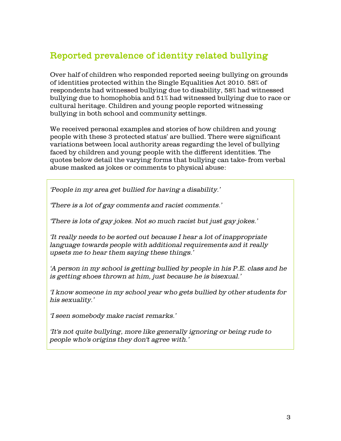## Reported prevalence of identity related bullying

O ver half of children who responded reported seeing bullying on grounds of identities protected within the Single Equalities Act 2010. 58% of respondents had witnessed bullying due to disability, 58% had witnessed bullying due to homophobia and 51% had witnessed bullying due to race or cultural heritage. Children and young people reported witnessing bullying in both school and community settings.

We received personal examples and stories of how children and young people with these 3 protected status' are bullied. There were significant variations between local authority areas regarding the level of bullying faced by children and young people with the different identities. The quotes below detail the varying forms that bullying can take-from verbal abuse masked as jokes or comments to physical abuse:

'People in my area get bullied for having a disability.'

'There is a lot of gay comments and racist comments.'

'There is lots of gay jokes. Not so much racist but just gay jokes.'

'It really needs to be sorted out because I hear a lot of inappropriate language towards people with additional requirements and it really upsets me to hear them saying these things.'

'A person in my school is getting bullied by people in his P.E. class and he is getting shoes thrown at him, just because he is bisexual.'

'I know someone in my school year who gets bullied by other students for his sexuality.'

'I seen somebody make racist remarks.'

'It's not quite bullying, more like generally ignoring or being rude to people who's origins they don't agree with.'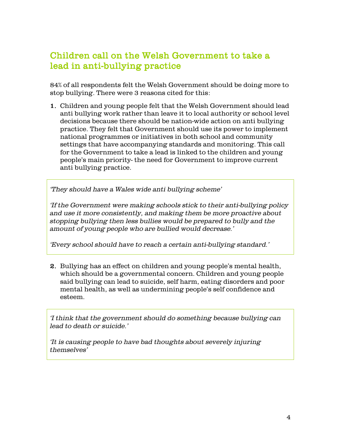## Children call on the Welsh Government to take a lead in anti-bullying practice

84% of all respondents felt the Welsh Government should be doing more to stop bullying. There were 3 reasons cited for this:

1. Children and young people felt that the Welsh Government should lead anti bullying work rather than leave it to local authority or school level decisions because there should be nation-wide action on anti bullying practice. They felt that Government should use its power to implement national programmes or initiatives in both school and community settings that have accompanying standards and monitoring. This call for the Government to take a lead is linked to the children and young people's main priority-the need for Government to improve current anti bullying practice.

'They should have a Wales wide anti bullying scheme'

'If the Government were making schools stick to their anti-bullying policy and use it more consistently, and making them be more proactive about stopping bullying then less bullies would be prepared to bully and the a mount of young people who are bullied would decrease.'

'Every school should have to reach a certain anti-bullying standard.'

2. Bullying has an effect on children and young people's mental health, which should be a governmental concern. Children and young people said bullying can lead to suicide, self harm, eating disorders and poor mental health, as well as undermining people's self confidence and esteem.

'I think that the government should do something because bullying can lead to death or suicide.'

'It is causing people to have bad thoughts about severely injuring themselves'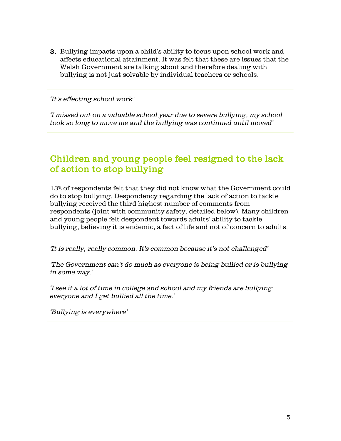**3.** Bullying impacts upon a child's ability to focus upon school work and affects educational attainment. It was felt that these are issues that the Welsh Government are talking about and therefore dealing with bullying is not just solvable by individual teachers or schools.

'It's effecting school work'

'I missed out on a valuable school year due to severe bullying, my school took so long to move me and the bullying was continued until moved'

## Children and young people feel resigned to the lack of action to stop bullying

13% of respondents felt that they did not know what the Government could do to stop bullying. Despondency regarding the lack of action to tackle bullying received the third highest number of comments from respondents (joint with community safety, detailed below). Many children and young people felt despondent towards adults' ability to tackle bullying, believing it is endemic, a fact of life and not of concern to adults.

'It is really, really common. It's common because it's not challenged'

'The Government can't do much as everyone is being bullied or is bullying in some way.'

'I see it a lot of time in college and school and my friends are bullying everyone and I get bullied all the time.'

'Bullying is everywhere'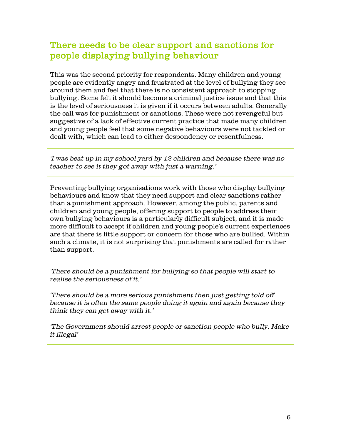## There needs to be clear support and sanctions for people displaying bullying behaviour

This was the second priority for respondents. Many children and young people are evidently angry and frustrated at the level of bullying they see around them and feel that there is no consistent approach to stopping bullying. Some felt it should become a criminal justice issue and that this is the level of seriousness it is given if it occurs between adults. Generally the call was for punishment or sanctions. These were not revengeful but suggestive of a lack of effective current practice that made many children and young people feel that some negative behaviours were not tackled or dealt with, which can lead to either despondency or resentfulness.

'I was beat up in my school yard by 12 children and because there was no teacher to see it they got away with just a warning.'

Preventing bullying organisations work with those who display bullying behaviours and know that they need support and clear sanctions rather than a punishment approach. However, among the public, parents and children and young people, offering support to people to address their own bullying behaviours is a particularly difficult subject, and it is made more difficult to accept if children and young people's current experiences are that there is little support or concern for those who are bullied. Within such a climate, it is not surprising that punishments are called for rather than support.

'There should be a punishment for bullying so that people will start to realise the seriousness of it.'

'There should be a more serious punishment then just getting told off because it is often the same people doing it again and again because they think they can get away with it.'

'The Government should arrest people or sanction people who bully. Make it illegal'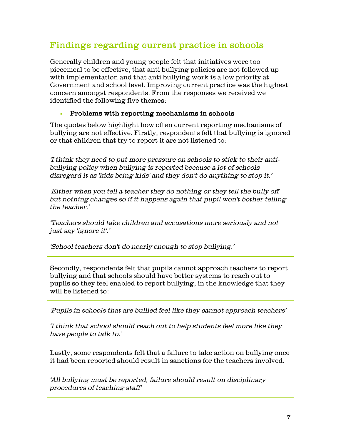## Findings regarding current practice in schools

Generally children and young people felt that initiatives were too piecemeal to be effective, that anti bullying policies are not followed up with implementation and that anti bullying work is a low priority at Government and school level. Improving current practice was the highest concern amongst respondents. From the responses we received we id entified the following five themes:

#### Problems with reporting mechanisms in schools

The quotes below high light how often current reporting mechanisms of bullying are not effective. Firstly, respondents felt that bullying is ignored or that children that try to report it are not listened to:

'I think they need to put more pressure on schools to stick to their antibullying policy when bullying is reported because a lot of schools disregard it as 'kids being kids' and they don't do anything to stop it.'

'Either when you tell a teacher they do nothing or they tell the bully off but nothing changes so if it happens again that pupil won't bother telling  $the teacher.$ '

'T eachers should take children and accusations more seriously and not just say 'ignore it'.'

'S chool teachers don't do nearly enough to stop bullying.'

Secondly, respondents felt that pupils cannot approach teachers to report bullying and that schools should have better systems to reach out to pupils so they feel enabled to report bullying, in the knowledge that they will be listened to:

'Pupils in schools that are bullied feel like they cannot approach teachers'

'I think that school should reach out to help students feel more like they have people to talk to.'

Lastly, some respondents felt that a failure to take action on bullying once it had been reported should result in sanctions for the teachers involved.

'All bullying must be reported, failure should result on disciplinary procedures of teaching staff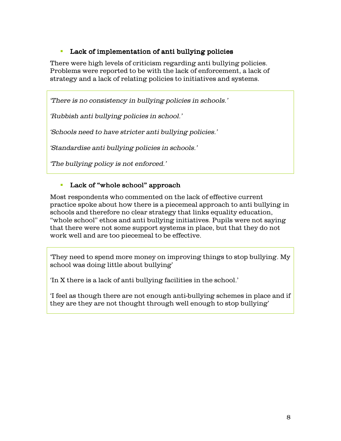#### • Lack of implementation of anti bullying policies

There were high levels of criticism regarding anti bullying policies. Problems were reported to be with the lack of enforcement, a lack of strategy and a lack of relating policies to initiatives and systems.

'There is no consistency in bullying policies in schools.'

'Rubbish anti bullying policies in school.'

'S chools need to have stricter anti bullying policies.'

'Standardise anti bullying policies in schools.'

'The bullying policy is not enforced.'

#### • Lack of "whole school" approach

Most respondents who commented on the lack of effective current practice spoke about how there is a piecemeal approach to anti bullying in s chools and therefore no clear strategy that links equality education, "whole school" ethos and anti bullying initiatives. Pupils were not saying that there were not some support systems in place, but that they do not work well and are too piecemeal to be effective.

'They need to spend more money on improving things to stop bullying. My s chool was doing little about bullying'

'In X there is a lack of anti bullying facilities in the school.'

If feel as though there are not enough anti-bullying schemes in place and if they are they are not thought through well enough to stop bullying'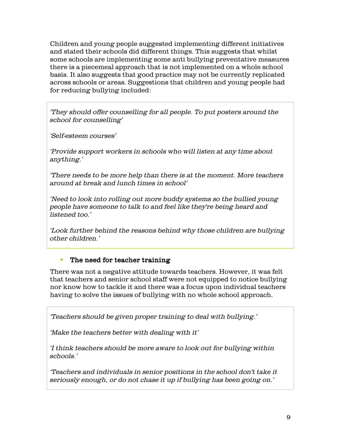Children and young people suggested implementing different initiatives and stated their schools did different things. This suggests that whilst some schools are implementing some anti bullying preventative measures there is a piecemeal approach that is not implemented on a whole school basis. It also suggests that good practice may not be currently replicated across schools or areas. Suggestions that children and young people had for reducing bullying included:

'They should offer counselling for all people. To put posters around the school for counselling'

'Self-esteem courses'

'Provide support workers in schools who will listen at any time about anything.'

'There needs to be more help than there is at the moment. More teachers around at break and lunch times in school'

'Need to look into rolling out more buddy systems so the bullied young people have someone to talk to and feel like they're being heard and  $listened$  too.'

'Look further behind the reasons behind why those children are bullying other children.'

#### • The need for teacher training

There was not a negative attitude towards teachers. However, it was felt that teachers and senior school staff were not equipped to notice bullying nor know how to tackle it and there was a focus upon individual teachers having to solve the issues of bullying with no whole school approach.

'Teachers should be given proper training to deal with bullying.'

'Make the teachers better with dealing with it'

'I think teachers should be more aware to look out for bullying within schools.'

'Teachers and individuals in senior positions in the school don't take it seriously enough, or do not chase it up if bullying has been going on.'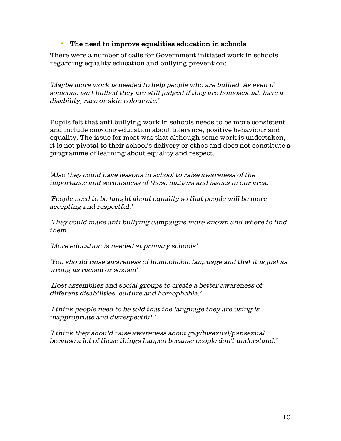#### The need to improve equalities education in schools

There were a number of calls for Government initiated work in schools regarding equality education and bullying prevention:

'Maybe more work is needed to help people who are bullied. As even if someone isn't bullied they are still judged if they are homosexual, have a disability, race or skin colour etc.'

Pupils felt that anti bullying work in schools needs to be more consistent and include ongoing education about tolerance, positive behaviour and equality. The issue for most was that although some work is undertaken, it is not pivotal to their school's delivery or ethos and does not constitute a programme of learning about equality and respect.

'Also they could have lessons in school to raise awareness of the importance and seriousness of these matters and issues in our area.'

'People need to be taught about equality so that people will be more accepting and respectful.'

'They could make anti bullying campaigns more known and where to find them.'

'More education is needed at primary schools'

'You should raise awareness of homophobic language and that it is just as wrong as racism or sexism'

'Host assemblies and social groups to create a better awareness of different disabilities, culture and homophobia.'

'I think people need to be told that the language they are using is in appropriate and dis respectful.'

'I think they should raise awareness about gay/bisexual/pansexual because a lot of these things happen because people don't understand.'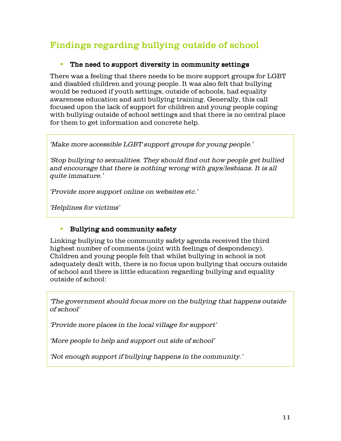# Findings regarding bullying outside of school

#### The need to support diversity in community settings

There was a feeling that there needs to be more support groups for LGBT and disabled children and young people. It was also felt that bullying would be reduced if youth settings, outside of schools, had equality aw areness education and anti bullying training. Generally, this call focused upon the lack of support for children and young people coping with bullying outside of school settings and that there is no central place for them to get information and concrete help.

'Make more accessible LGBT support groups for young people.'

'S top bullying to sexualities. They should find out how people get bullied and encourage that there is nothing wrong with gays/lesbians. It is all quite immature.'

'Provide more support online on websites etc.'

'Helplines for victims'

#### Bullying and community safety

Linking bullying to the community safety agenda received the third high est number of comments (joint with feelings of despondency). Children and young people felt that whilst bullying in school is not ad equately d ealt with, there is no focus upon bullying that occurs outside of school and there is little education regarding bullying and equality outside of school:

'The government should focus more on the bullying that happens outside of school'

'Provide more places in the local village for support'

'More people to help and support out side of school'

'Not enough support if bullying happens in the community.'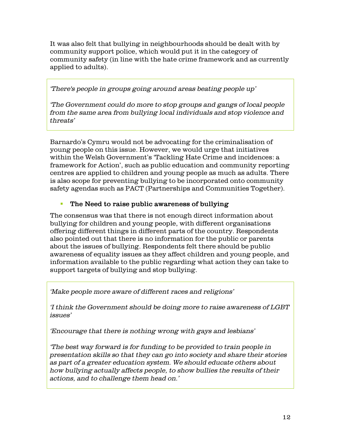It was also felt that bullying in neighbourhoods should be dealt with by community support police, which would put it in the category of community safety (in line with the hate crime framework and as currently applied to adults).

'There's people in groups going around areas beating people up'

'The Government could do more to stop groups and gangs of local people from the same area from bullying local individuals and stop violence and  $th$  reats'

Barnardo's Cymru would not be advocating for the criminalisation of young people on this issue. However, we would urge that initiatives within the Welsh Government's 'Tackling Hate Crime and incidences: a fram ework for Action', such as public education and community reporting centres are applied to children and young people as much as adults. There is also scope for preventing bullying to be incorporated onto community s afety agend as such as PACT (Partners hips and Communities Together).

#### The Need to raise public awareness of bullying

The consensus was that there is not enough direct information about bullying for children and young people, with different organisations offering different things in different parts of the country. Respondents also pointed out that there is no information for the public or parents about the issues of bullying. Respondents felt there should be public aw areness of equality issues as they affect children and young people, and information available to the public regarding what action they can take to support targets of bullying and stop bullying.

'Make people more aware of different races and religions'

'I think the Government should be doing more to raise awareness of LGBT issues'

'Encourage that there is nothing wrong with gays and lesbians'

'The best way forward is for funding to be provided to train people in presentation skills so that they can go into society and share their stories as part of a greater education system. We should educate others about how bullying actually affects people, to show bullies the results of their actions, and to challenge them head on.'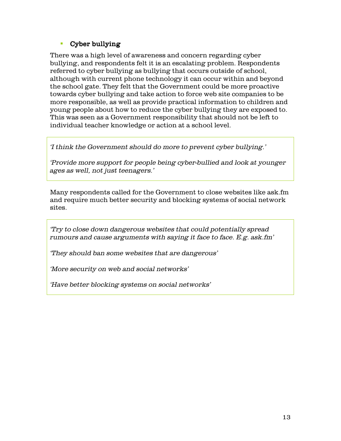#### • Cyber bullying

There was a high level of awareness and concern regarding cyber bullying, and respondents felt it is an escalating problem. Respondents referred to cyber bullying as bullying that occurs outside of school, although with current phone technology it can occur within and beyond the school gate. They felt that the Government could be more proactive towards cyber bullying and take action to force web site companies to be more responsible, as well as provide practical information to children and young people about how to reduce the cyber bullying they are exposed to. This was seen as a Government responsibility that should not be left to individual teacher knowledge or action at a school level.

'I think the Government should do more to prevent cyber bullying.'

'Provide more support for people being cyber-bullied and look at younger ages as well, not just teenagers.'

Many respondents called for the Government to close websites like ask.fm and require much better security and blocking systems of social network sites.

'Try to close down dangerous websites that could potentially spread rumours and cause arguments with saying it face to face. E.g. ask.fm'

'They should ban some websites that are dangerous'

'More security on web and social networks'

'Have better blocking systems on social networks'